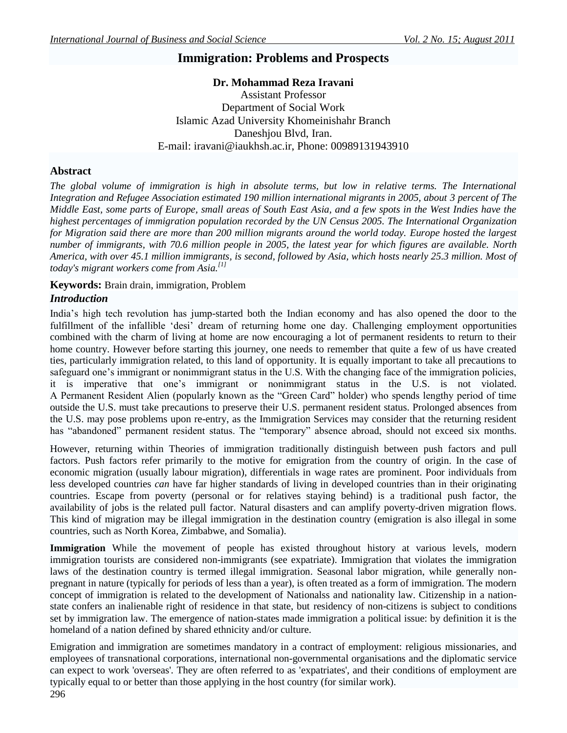# **Immigration: Problems and Prospects**

**Dr. Mohammad Reza Iravani** Assistant Professor Department of Social Work Islamic Azad University Khomeinishahr Branch Daneshjou Blvd, Iran. E-mail: [iravani@iaukhsh.ac.ir,](mailto:iravani@iaukhsh.ac.ir) Phone: 00989131943910

### **Abstract**

*The global volume of immigration is high in absolute terms, but low in relative terms. The International Integration and Refugee Association estimated 190 million international migrants in 2005, about 3 percent of The Middle East, some parts of Europe, small areas of South East Asia, and a few spots in the West Indies have the highest percentages of immigration population recorded by the UN Census 2005. The [International Organization](http://en.wikipedia.org/wiki/International_Organization_for_Migration)  [for Migration](http://en.wikipedia.org/wiki/International_Organization_for_Migration) said there are more than 200 million migrants around the world today. [Europe](http://en.wikipedia.org/wiki/Europe) hosted the largest number of immigrants, with 70.6 million people in 2005, the latest year for which figures are available. [North](http://en.wikipedia.org/wiki/North_America)  [America,](http://en.wikipedia.org/wiki/North_America) with over 45.1 million immigrants, is second, followed by [Asia,](http://en.wikipedia.org/wiki/Asia) which hosts nearly 25.3 million. Most of today's migrant workers come from Asia.[\[1\]](http://en.wikipedia.org/wiki/Immigration#cite_note-0)*

**Keywords:** Brain drain, immigration, Problem

# *Introduction*

India"s high tech revolution has jump-started both the Indian economy and has also opened the door to the fulfillment of the infallible 'desi' dream of returning home one day. Challenging employment opportunities combined with the charm of living at home are now encouraging a lot of permanent residents to return to their home country. However before starting this journey, one needs to remember that quite a few of us have created ties, particularly immigration related, to this land of opportunity. It is equally important to take all precautions to safeguard one's immigrant or nonimmigrant status in the U.S. With the changing face of the immigration policies, it is imperative that one"s immigrant or nonimmigrant status in the U.S. is not violated. A Permanent Resident Alien (popularly known as the "Green Card" holder) who spends lengthy period of time outside the U.S. must take precautions to preserve their U.S. permanent resident status. Prolonged absences from the U.S. may pose problems upon re-entry, as the Immigration Services may consider that the returning resident has "abandoned" permanent resident status. The "temporary" absence abroad, should not exceed six months.

However, returning within Theories of immigration traditionally distinguish between [push factors](http://en.wikipedia.org/wiki/Push_and_pull_factors) and [pull](http://en.wikipedia.org/wiki/Push_and_pull_factors)  [factors.](http://en.wikipedia.org/wiki/Push_and_pull_factors) Push factors refer primarily to the motive for [emigration](http://en.wikipedia.org/wiki/Emigration) from the country of origin. In the case of economic migration (usually labour migration), differentials in [wage rates](http://en.wikipedia.org/wiki/Wage_rate) are prominent. Poor individuals from less developed countries *can* have far higher standards of living in developed countries than in their originating countries. Escape from [poverty](http://en.wikipedia.org/wiki/Poverty) (personal or for relatives staying behind) is a traditional push factor, the availability of [jobs](http://en.wikipedia.org/wiki/Employment) is the related pull factor. [Natural disasters](http://en.wikipedia.org/wiki/Natural_disasters) and can amplify poverty-driven migration flows. This kind of migration may be [illegal immigration](http://en.wikipedia.org/wiki/Illegal_immigration) in the destination country (emigration is also illegal in some countries, such as [North Korea,](http://en.wikipedia.org/wiki/North_Korea) [Zimbabwe,](http://en.wikipedia.org/wiki/Zimbabwe) an[d Somalia\)](http://en.wikipedia.org/wiki/Somalia).

**Immigration** While the movement of people has existed throughout history at various levels, modern immigration [tourists](http://en.wikipedia.org/wiki/Tourism) are considered non-immigrants (see [expatriate\)](http://en.wikipedia.org/wiki/Expatriate). Immigration that violates the immigration laws of the destination country is termed [illegal immigration.](http://en.wikipedia.org/wiki/Illegal_immigration) Seasonal labor migration, while generally nonpregnant in nature (typically for periods of less than a year), is often treated as a form of immigration. The modern concept of immigration is related to the development of [Nationalss](http://en.wikipedia.org/wiki/Nationals) and [nationality law.](http://en.wikipedia.org/wiki/Nationality_law) [Citizenship](http://en.wikipedia.org/wiki/Citizenship) in a nationstate confers an inalienable right of residence in that state, but [residency](http://en.wikipedia.org/wiki/Permanent_residency) of non-citizens is subject to conditions set by [immigration law.](http://en.wikipedia.org/wiki/Immigration_law) The emergence of nation-states made immigration a political issue: by definition it is the homeland of a [nation](http://en.wikipedia.org/wiki/Nation) defined by shared ethnicity and/or culture.

Emigration and immigration are sometimes mandatory in a contract of employment: religious [missionaries,](http://en.wikipedia.org/wiki/Missionary) and employees of [transnational corporations,](http://en.wikipedia.org/wiki/Transnational_corporations) international [non-governmental organisations](http://en.wikipedia.org/wiki/Non-governmental_organisations) and the [diplomatic service](http://en.wikipedia.org/wiki/Diplomatic_service) can expect to work 'overseas'. They are often referred to as ['expatriates',](http://en.wikipedia.org/wiki/Expatriates) and their conditions of employment are typically equal to or better than those applying in the host country (for similar work).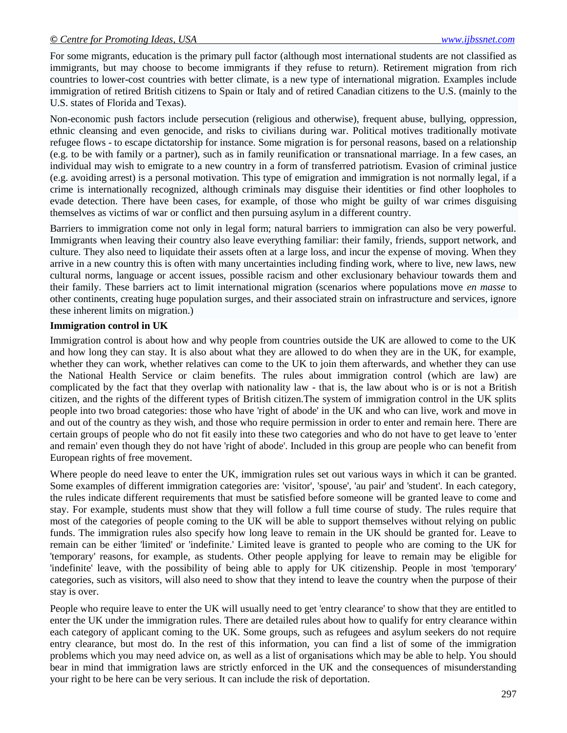For some migrants, [education](http://en.wikipedia.org/wiki/Education) is the primary pull factor (although most [international students](http://en.wikipedia.org/wiki/International_students) are not classified as immigrants, but may choose to become immigrants if they refuse to return). [Retirement](http://en.wikipedia.org/wiki/Retirement) migration from rich countries to lower-cost countries with better [climate,](http://en.wikipedia.org/wiki/Climate) is a new type of international migration. Examples include immigration of retired [British](http://en.wikipedia.org/wiki/United_Kingdom) citizens to [Spain](http://en.wikipedia.org/wiki/Spain) or [Italy](http://en.wikipedia.org/wiki/Italy) and of retired [Canadian](http://en.wikipedia.org/wiki/Canadian) citizens to the [U.S.](http://en.wikipedia.org/wiki/United_States) (mainly to the U.S. states of [Florida](http://en.wikipedia.org/wiki/Florida) and [Texas\)](http://en.wikipedia.org/wiki/Texas).

Non-economic push factors include [persecution](http://en.wikipedia.org/wiki/Persecution) (religious and otherwise), frequent [abuse,](http://en.wikipedia.org/wiki/Abuse) [bullying,](http://en.wikipedia.org/wiki/Bullying) [oppression,](http://en.wikipedia.org/wiki/Oppression) [ethnic cleansing](http://en.wikipedia.org/wiki/Ethnic_cleansing) and even [genocide,](http://en.wikipedia.org/wiki/Genocide) and risks to civilians during [war.](http://en.wikipedia.org/wiki/War) Political motives traditionally motivate refugee flows - to escape [dictatorship](http://en.wikipedia.org/wiki/Dictatorship) for instance. Some migration is for personal reasons, based on a [relationship](http://en.wikipedia.org/wiki/Interpersonal_relationship) (e.g. to be with family or a partner), such as in [family reunification](http://en.wikipedia.org/wiki/Family_reunification) or [transnational marriage.](http://en.wikipedia.org/wiki/Transnational_marriage) In a few cases, an individual may wish to emigrate to a new country in a form of transferred [patriotism.](http://en.wikipedia.org/wiki/Patriotism) Evasion of [criminal justice](http://en.wikipedia.org/wiki/Criminal_justice) (e.g. avoiding [arrest\)](http://en.wikipedia.org/wiki/Arrest) is a personal motivation. This type of emigration and immigration is not normally legal, if a crime is internationally recognized, although criminals may disguise their identities or find other loopholes to evade detection. There have been cases, for example, of those who might be guilty of war crimes disguising themselves as victims of war or conflict and then pursuing asylum in a different country.

Barriers to immigration come not only in legal form; natural barriers to immigration can also be very powerful. Immigrants when leaving their country also leave everything familiar: their family, friends, support network, and culture. They also need to liquidate their assets often at a large loss, and incur the expense of moving. When they arrive in a new country this is often with many uncertainties including finding work, where to live, new laws, new cultural norms, language or accent issues, possible [racism](http://en.wikipedia.org/wiki/Racism) and other exclusionary behaviour towards them and their family. These barriers act to limit international migration (scenarios where populations move *en masse* to other continents, creating huge population surges, and their associated strain on infrastructure and services, ignore these inherent limits on migration.)

### **Immigration control in UK**

Immigration control is about how and why people from countries outside the UK are allowed to come to the UK and how long they can stay. It is also about what they are allowed to do when they are in the UK, for example, whether they can work, whether relatives can come to the UK to join them afterwards, and whether they can use the National Health Service or claim benefits. The rules about immigration control (which are law) are complicated by the fact that they overlap with nationality law - that is, the law about who is or is not a British citizen, and the rights of the different types of British citizen.The system of immigration control in the UK splits people into two broad categories: those who have 'right of abode' in the UK and who can live, work and move in and out of the country as they wish, and those who require permission in order to enter and remain here. There are certain groups of people who do not fit easily into these two categories and who do not have to get leave to 'enter and remain' even though they do not have 'right of abode'. Included in this group are people who can benefit from European rights of free movement.

Where people do need leave to enter the UK, immigration rules set out various ways in which it can be granted. Some examples of different immigration categories are: 'visitor', 'spouse', 'au pair' and 'student'. In each category, the rules indicate different requirements that must be satisfied before someone will be granted leave to come and stay. For example, students must show that they will follow a full time course of study. The rules require that most of the categories of people coming to the UK will be able to support themselves without relying on public funds. The immigration rules also specify how long leave to remain in the UK should be granted for. Leave to remain can be either 'limited' or 'indefinite.' Limited leave is granted to people who are coming to the UK for 'temporary' reasons, for example, as students. Other people applying for leave to remain may be eligible for 'indefinite' leave, with the possibility of being able to apply for UK citizenship. People in most 'temporary' categories, such as visitors, will also need to show that they intend to leave the country when the purpose of their stay is over.

People who require leave to enter the UK will usually need to get 'entry clearance' to show that they are entitled to enter the UK under the immigration rules. There are detailed rules about how to qualify for entry clearance within each category of applicant coming to the UK. Some groups, such as refugees and asylum seekers do not require entry clearance, but most do. In the rest of this information, you can find a list of some of the immigration problems which you may need advice on, as well as a list of organisations which may be able to help. You should bear in mind that immigration laws are strictly enforced in the UK and the consequences of misunderstanding your right to be here can be very serious. It can include the risk of deportation.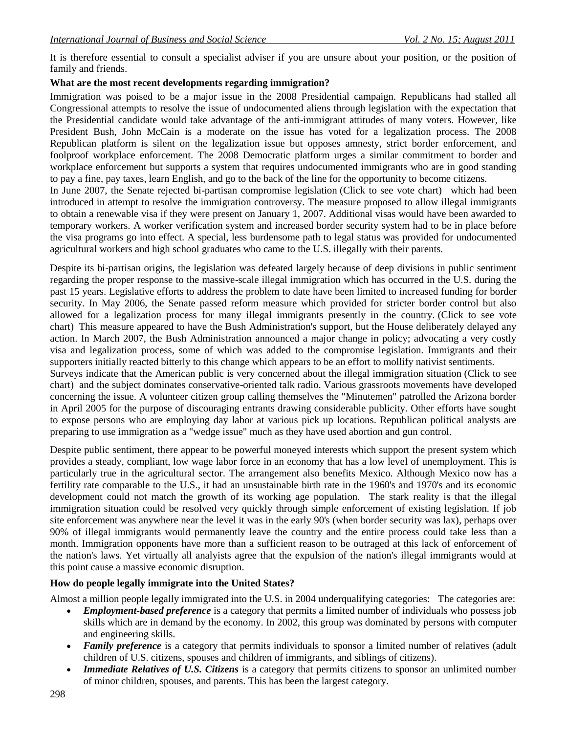It is therefore essential to consult a specialist adviser if you are unsure about your position, or the position of family and friends.

### **What are the most recent developments regarding immigration?**

Immigration was poised to be a major issue in the 2008 Presidential campaign. Republicans had stalled all Congressional attempts to resolve the issue of undocumented aliens through legislation with the expectation that the Presidential candidate would take advantage of the anti-immigrant attitudes of many voters. However, like President Bush, John McCain is a moderate on the issue has voted for a legalization process. The 2008 Republican platform is silent on the legalization issue but opposes amnesty, strict border enforcement, and foolproof workplace enforcement. The 2008 Democratic platform urges a similar commitment to border and workplace enforcement but supports a system that requires undocumented immigrants who are in good standing to pay a fine, pay taxes, learn English, and go to the back of the line for the opportunity to become citizens. In June 2007, the Senate rejected bi-partisan compromise legislation (Click to see vote chart) which had been

introduced in attempt to resolve the immigration controversy. The measure proposed to allow illegal immigrants to obtain a renewable visa if they were present on January 1, 2007. Additional visas would have been awarded to temporary workers. A worker verification system and increased border security system had to be in place before the visa programs go into effect. A special, less burdensome path to legal status was provided for undocumented agricultural workers and high school graduates who came to the U.S. illegally with their parents.

Despite its bi-partisan origins, the legislation was defeated largely because of deep divisions in public sentiment regarding the proper response to the massive-scale illegal immigration which has occurred in the U.S. during the past 15 years. Legislative efforts to address the problem to date have been limited to increased funding for border security. In May 2006, the Senate passed reform measure which provided for stricter border control but also allowed for a legalization process for many illegal immigrants presently in the country. (Click to see vote chart) This measure appeared to have the Bush Administration's support, but the House deliberately delayed any action. In March 2007, the Bush Administration announced a major change in policy; advocating a very costly visa and legalization process, some of which was added to the compromise legislation. Immigrants and their supporters initially reacted bitterly to this change which appears to be an effort to mollify nativist sentiments.

Surveys indicate that the American public is very concerned about the illegal immigration situation (Click to see chart) and the subject dominates conservative-oriented talk radio. Various grassroots movements have developed concerning the issue. A volunteer citizen group calling themselves the "Minutemen" patrolled the Arizona border in April 2005 for the purpose of discouraging entrants drawing considerable publicity. Other efforts have sought to expose persons who are employing day labor at various pick up locations. Republican political analysts are preparing to use immigration as a "wedge issue" much as they have used abortion and gun control.

Despite public sentiment, there appear to be powerful moneyed interests which support the present system which provides a steady, compliant, low wage labor force in an economy that has a low level of unemployment. This is particularly true in the agricultural sector. The arrangement also benefits Mexico. Although Mexico now has a fertility rate comparable to the U.S., it had an unsustainable birth rate in the 1960's and 1970's and its economic development could not match the growth of its working age population. The stark reality is that the illegal immigration situation could be resolved very quickly through simple enforcement of existing legislation. If job site enforcement was anywhere near the level it was in the early 90's (when border security was lax), perhaps over 90% of illegal immigrants would permanently leave the country and the entire process could take less than a month. Immigration opponents have more than a sufficient reason to be outraged at this lack of enforcement of the nation's laws. Yet virtually all analyists agree that the expulsion of the nation's illegal immigrants would at this point cause a massive economic disruption.

### **How do people legally immigrate into the United States?**

Almost a million people legally immigrated into the U.S. in 2004 underqualifying categories: The categories are:

- *Employment-based preference* is a category that permits a limited number of individuals who possess job skills which are in demand by the economy. In 2002, this group was dominated by persons with computer and engineering skills.
- *Family preference* is a category that permits individuals to sponsor a limited number of relatives (adult children of U.S. citizens, spouses and children of immigrants, and siblings of citizens).
- *Immediate Relatives of U.S. Citizens* is a category that permits citizens to sponsor an unlimited number of minor children, spouses, and parents. This has been the largest category.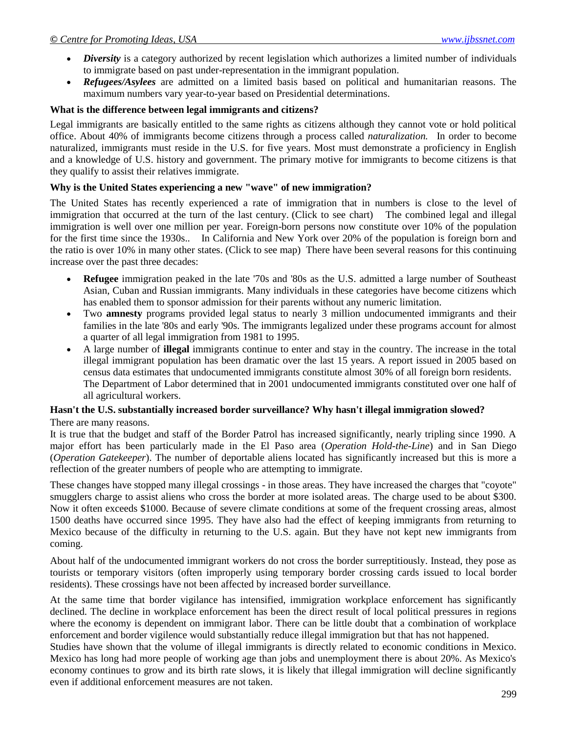- *Diversity* is a category authorized by recent legislation which authorizes a limited number of individuals to immigrate based on past under-representation in the immigrant population.
- *Refugees/Asylees* are admitted on a limited basis based on political and humanitarian reasons. The maximum numbers vary year-to-year based on Presidential determinations.

### **What is the difference between legal immigrants and citizens?**

Legal immigrants are basically entitled to the same rights as citizens although they cannot vote or hold political office. About 40% of immigrants become citizens through a process called *naturalization.* In order to become naturalized, immigrants must reside in the U.S. for five years. Most must demonstrate a proficiency in English and a knowledge of U.S. history and government. The primary motive for immigrants to become citizens is that they qualify to assist their relatives immigrate.

### **Why is the United States experiencing a new "wave" of new immigration?**

The United States has recently experienced a rate of immigration that in numbers is close to the level of immigration that occurred at the turn of the last century. (Click to see chart) The combined legal and illegal immigration is well over one million per year. Foreign-born persons now constitute over 10% of the population for the first time since the 1930s.. In California and New York over 20% of the population is foreign born and the ratio is over 10% in many other states. (Click to see map) There have been several reasons for this continuing increase over the past three decades:

- **Refugee** immigration peaked in the late '70s and '80s as the U.S. admitted a large number of Southeast Asian, Cuban and Russian immigrants. Many individuals in these categories have become citizens which has enabled them to sponsor admission for their parents without any numeric limitation.
- Two **amnesty** programs provided legal status to nearly 3 million undocumented immigrants and their families in the late '80s and early '90s. The immigrants legalized under these programs account for almost a quarter of all legal immigration from 1981 to 1995.
- A large number of **illegal** immigrants continue to enter and stay in the country. The increase in the total illegal immigrant population has been dramatic over the last 15 years. A report issued in 2005 based on census data estimates that undocumented immigrants constitute almost 30% of all foreign born residents. The Department of Labor determined that in 2001 undocumented immigrants constituted over one half of all agricultural workers.

#### **Hasn't the U.S. substantially increased border surveillance? Why hasn't illegal immigration slowed?**  There are many reasons.

It is true that the budget and staff of the Border Patrol has increased significantly, nearly tripling since 1990. A major effort has been particularly made in the El Paso area (*Operation Hold-the-Line*) and in San Diego (*Operation Gatekeeper*). The number of deportable aliens located has significantly increased but this is more a reflection of the greater numbers of people who are attempting to immigrate.

These changes have stopped many illegal crossings - in those areas. They have increased the charges that "coyote" smugglers charge to assist aliens who cross the border at more isolated areas. The charge used to be about \$300. Now it often exceeds \$1000. Because of severe climate conditions at some of the frequent crossing areas, almost 1500 deaths have occurred since 1995. They have also had the effect of keeping immigrants from returning to Mexico because of the difficulty in returning to the U.S. again. But they have not kept new immigrants from coming.

About half of the undocumented immigrant workers do not cross the border surreptitiously. Instead, they pose as tourists or temporary visitors (often improperly using temporary border crossing cards issued to local border residents). These crossings have not been affected by increased border surveillance.

At the same time that border vigilance has intensified, immigration workplace enforcement has significantly declined. The decline in workplace enforcement has been the direct result of local political pressures in regions where the economy is dependent on immigrant labor. There can be little doubt that a combination of workplace enforcement and border vigilence would substantially reduce illegal immigration but that has not happened.

Studies have shown that the volume of illegal immigrants is directly related to economic conditions in Mexico. Mexico has long had more people of working age than jobs and unemployment there is about 20%. As Mexico's economy continues to grow and its birth rate slows, it is likely that illegal immigration will decline significantly even if additional enforcement measures are not taken.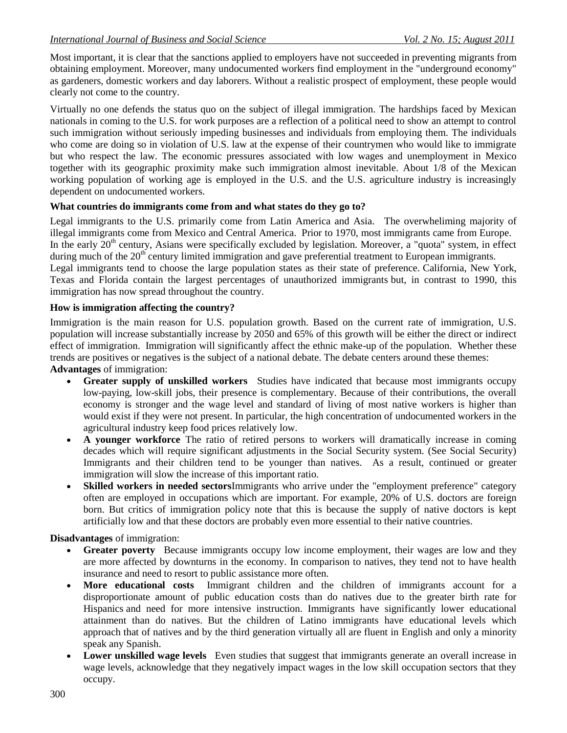Most important, it is clear that the sanctions applied to employers have not succeeded in preventing migrants from obtaining employment. Moreover, many undocumented workers find employment in the "underground economy" as gardeners, domestic workers and day laborers. Without a realistic prospect of employment, these people would clearly not come to the country.

Virtually no one defends the status quo on the subject of illegal immigration. The hardships faced by Mexican nationals in coming to the U.S. for work purposes are a reflection of a political need to show an attempt to control such immigration without seriously impeding businesses and individuals from employing them. The individuals who come are doing so in violation of U.S. law at the expense of their countrymen who would like to immigrate but who respect the law. The economic pressures associated with low wages and unemployment in Mexico together with its geographic proximity make such immigration almost inevitable. About 1/8 of the Mexican working population of working age is employed in the U.S. and the U.S. agriculture industry is increasingly dependent on undocumented workers.

### **What countries do immigrants come from and what states do they go to?**

Legal immigrants to the U.S. primarily come from Latin America and Asia. The overwheliming majority of illegal immigrants come from Mexico and Central America. Prior to 1970, most immigrants came from Europe. In the early 20<sup>th</sup> century, Asians were specifically excluded by legislation. Moreover, a "quota" system, in effect during much of the 20<sup>th</sup> century limited immigration and gave preferential treatment to European immigrants. Legal immigrants tend to choose the large population states as their state of preference. California, New York, Texas and Florida contain the largest percentages of unauthorized immigrants but, in contrast to 1990, this immigration has now spread throughout the country.

### **How is immigration affecting the country?**

Immigration is the main reason for U.S. population growth. Based on the current rate of immigration, U.S. population will increase substantially increase by 2050 and 65% of this growth will be either the direct or indirect effect of immigration. Immigration will significantly affect the ethnic make-up of the population. Whether these trends are positives or negatives is the subject of a national debate. The debate centers around these themes: **Advantages** of immigration:

- **Greater supply of unskilled workers** Studies have indicated that because most immigrants occupy low-paying, low-skill jobs, their presence is complementary. Because of their contributions, the overall economy is stronger and the wage level and standard of living of most native workers is higher than would exist if they were not present. In particular, the high concentration of undocumented workers in the agricultural industry keep food prices relatively low.
- **A younger workforce** The ratio of retired persons to workers will dramatically increase in coming decades which will require significant adjustments in the Social Security system. (See Social Security) Immigrants and their children tend to be younger than natives. As a result, continued or greater immigration will slow the increase of this important ratio.
- **Skilled workers in needed sectors**Immigrants who arrive under the "employment preference" category often are employed in occupations which are important. For example, 20% of U.S. doctors are foreign born. But critics of immigration policy note that this is because the supply of native doctors is kept artificially low and that these doctors are probably even more essential to their native countries.

**Disadvantages** of immigration:

- **Greater poverty** Because immigrants occupy low income employment, their wages are low and they are more affected by downturns in the economy. In comparison to natives, they tend not to have health insurance and need to resort to public assistance more often.
- **More educational costs** Immigrant children and the children of immigrants account for a disproportionate amount of public education costs than do natives due to the greater birth rate for Hispanics and need for more intensive instruction. Immigrants have significantly lower educational attainment than do natives. But the children of Latino immigrants have educational levels which approach that of natives and by the third generation virtually all are fluent in English and only a minority speak any Spanish.
- **Lower unskilled wage levels** Even studies that suggest that immigrants generate an overall increase in wage levels, acknowledge that they negatively impact wages in the low skill occupation sectors that they occupy.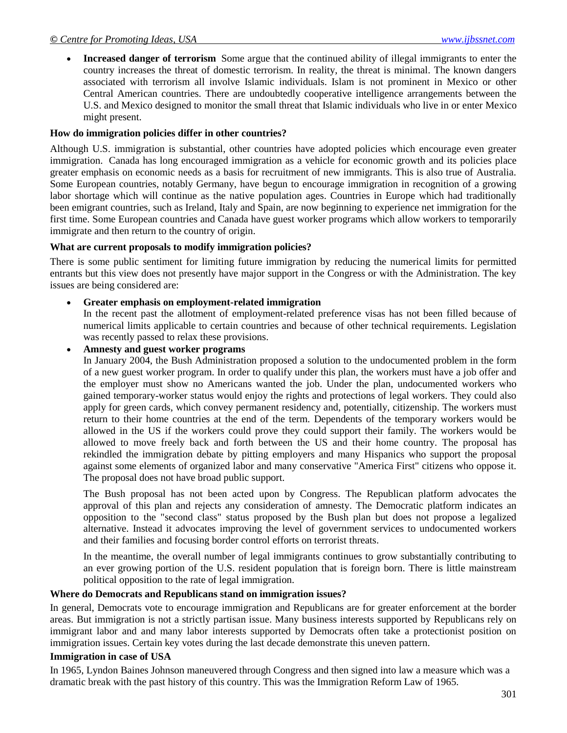**Increased danger of terrorism** Some argue that the continued ability of illegal immigrants to enter the country increases the threat of domestic terrorism. In reality, the threat is minimal. The known dangers associated with terrorism all involve Islamic individuals. Islam is not prominent in Mexico or other Central American countries. There are undoubtedly cooperative intelligence arrangements between the U.S. and Mexico designed to monitor the small threat that Islamic individuals who live in or enter Mexico might present.

#### **How do immigration policies differ in other countries?**

Although U.S. immigration is substantial, other countries have adopted policies which encourage even greater immigration. Canada has long encouraged immigration as a vehicle for economic growth and its policies place greater emphasis on economic needs as a basis for recruitment of new immigrants. This is also true of Australia. Some European countries, notably Germany, have begun to encourage immigration in recognition of a growing labor shortage which will continue as the native population ages. Countries in Europe which had traditionally been emigrant countries, such as Ireland, Italy and Spain, are now beginning to experience net immigration for the first time. Some European countries and Canada have guest worker programs which allow workers to temporarily immigrate and then return to the country of origin.

### **What are current proposals to modify immigration policies?**

There is some public sentiment for limiting future immigration by reducing the numerical limits for permitted entrants but this view does not presently have major support in the Congress or with the Administration. The key issues are being considered are:

### **Greater emphasis on employment-related immigration**

In the recent past the allotment of employment-related preference visas has not been filled because of numerical limits applicable to certain countries and because of other technical requirements. Legislation was recently passed to relax these provisions.

### **Amnesty and guest worker programs**

In January 2004, the Bush Administration proposed a solution to the undocumented problem in the form of a new guest worker program. In order to qualify under this plan, the workers must have a job offer and the employer must show no Americans wanted the job. Under the plan, undocumented workers who gained temporary-worker status would enjoy the rights and protections of legal workers. They could also apply for green cards, which convey permanent residency and, potentially, citizenship. The workers must return to their home countries at the end of the term. Dependents of the temporary workers would be allowed in the US if the workers could prove they could support their family. The workers would be allowed to move freely back and forth between the US and their home country. The proposal has rekindled the immigration debate by pitting employers and many Hispanics who support the proposal against some elements of organized labor and many conservative "America First" citizens who oppose it. The proposal does not have broad public support.

The Bush proposal has not been acted upon by Congress. The Republican platform advocates the approval of this plan and rejects any consideration of amnesty. The Democratic platform indicates an opposition to the "second class" status proposed by the Bush plan but does not propose a legalized alternative. Instead it advocates improving the level of government services to undocumented workers and their families and focusing border control efforts on terrorist threats.

In the meantime, the overall number of legal immigrants continues to grow substantially contributing to an ever growing portion of the U.S. resident population that is foreign born. There is little mainstream political opposition to the rate of legal immigration.

### **Where do Democrats and Republicans stand on immigration issues?**

In general, Democrats vote to encourage immigration and Republicans are for greater enforcement at the border areas. But immigration is not a strictly partisan issue. Many business interests supported by Republicans rely on immigrant labor and and many labor interests supported by Democrats often take a protectionist position on immigration issues. Certain key votes during the last decade demonstrate this uneven pattern.

### **Immigration in case of USA**

In 1965, Lyndon Baines Johnson maneuvered through Congress and then signed into law a measure which was a dramatic break with the past history of this country. This was the Immigration Reform Law of 1965.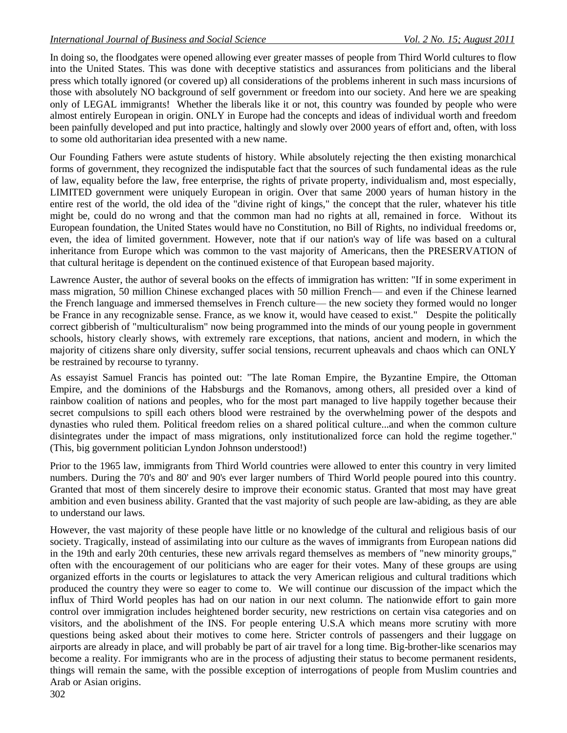In doing so, the floodgates were opened allowing ever greater masses of people from Third World cultures to flow into the United States. This was done with deceptive statistics and assurances from politicians and the liberal press which totally ignored (or covered up) all considerations of the problems inherent in such mass incursions of those with absolutely NO background of self government or freedom into our society. And here we are speaking only of LEGAL immigrants! Whether the liberals like it or not, this country was founded by people who were almost entirely European in origin. ONLY in Europe had the concepts and ideas of individual worth and freedom been painfully developed and put into practice, haltingly and slowly over 2000 years of effort and, often, with loss to some old authoritarian idea presented with a new name.

Our Founding Fathers were astute students of history. While absolutely rejecting the then existing monarchical forms of government, they recognized the indisputable fact that the sources of such fundamental ideas as the rule of law, equality before the law, free enterprise, the rights of private property, individualism and, most especially, LIMITED government were uniquely European in origin. Over that same 2000 years of human history in the entire rest of the world, the old idea of the "divine right of kings," the concept that the ruler, whatever his title might be, could do no wrong and that the common man had no rights at all, remained in force. Without its European foundation, the United States would have no Constitution, no Bill of Rights, no individual freedoms or, even, the idea of limited government. However, note that if our nation's way of life was based on a cultural inheritance from Europe which was common to the vast majority of Americans, then the PRESERVATION of that cultural heritage is dependent on the continued existence of that European based majority.

Lawrence Auster, the author of several books on the effects of immigration has written: "If in some experiment in mass migration, 50 million Chinese exchanged places with 50 million French— and even if the Chinese learned the French language and immersed themselves in French culture— the new society they formed would no longer be France in any recognizable sense. France, as we know it, would have ceased to exist." Despite the politically correct gibberish of "multiculturalism" now being programmed into the minds of our young people in government schools, history clearly shows, with extremely rare exceptions, that nations, ancient and modern, in which the majority of citizens share only diversity, suffer social tensions, recurrent upheavals and chaos which can ONLY be restrained by recourse to tyranny.

As essayist Samuel Francis has pointed out: "The late Roman Empire, the Byzantine Empire, the Ottoman Empire, and the dominions of the Habsburgs and the Romanovs, among others, all presided over a kind of rainbow coalition of nations and peoples, who for the most part managed to live happily together because their secret compulsions to spill each others blood were restrained by the overwhelming power of the despots and dynasties who ruled them. Political freedom relies on a shared political culture...and when the common culture disintegrates under the impact of mass migrations, only institutionalized force can hold the regime together." (This, big government politician Lyndon Johnson understood!)

Prior to the 1965 law, immigrants from Third World countries were allowed to enter this country in very limited numbers. During the 70's and 80' and 90's ever larger numbers of Third World people poured into this country. Granted that most of them sincerely desire to improve their economic status. Granted that most may have great ambition and even business ability. Granted that the vast majority of such people are law-abiding, as they are able to understand our laws.

However, the vast majority of these people have little or no knowledge of the cultural and religious basis of our society. Tragically, instead of assimilating into our culture as the waves of immigrants from European nations did in the 19th and early 20th centuries, these new arrivals regard themselves as members of "new minority groups," often with the encouragement of our politicians who are eager for their votes. Many of these groups are using organized efforts in the courts or legislatures to attack the very American religious and cultural traditions which produced the country they were so eager to come to. We will continue our discussion of the impact which the influx of Third World peoples has had on our nation in our next column. The nationwide effort to gain more control over immigration includes heightened border security, new restrictions on certain visa categories and on visitors, and the abolishment of the INS. For people entering U.S.A which means more scrutiny with more questions being asked about their motives to come here. Stricter controls of passengers and their luggage on airports are already in place, and will probably be part of air travel for a long time. Big-brother-like scenarios may become a reality. For immigrants who are in the process of adjusting their status to become permanent residents, things will remain the same, with the possible exception of interrogations of people from Muslim countries and Arab or Asian origins.